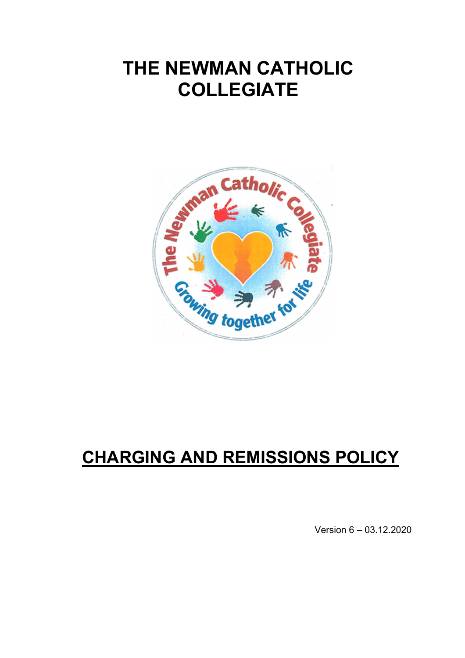# **THE NEWMAN CATHOLIC COLLEGIATE**



# **CHARGING AND REMISSIONS POLICY**

Version 6 – 03.12.2020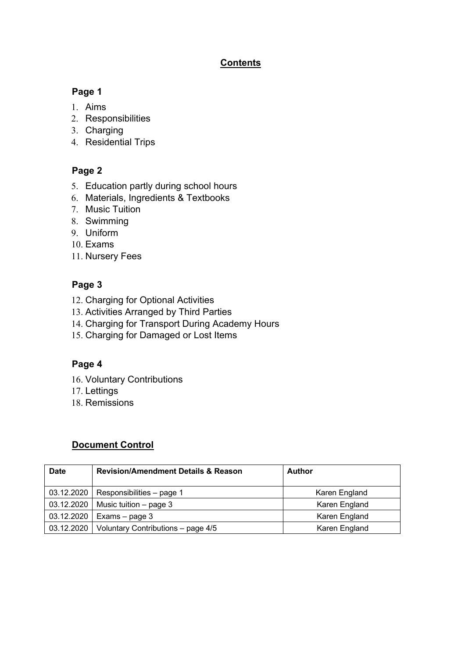## **Contents**

## **Page 1**

- 1. Aims
- 2. Responsibilities
- 3. Charging
- 4. Residential Trips

# **Page 2**

- 5. Education partly during school hours
- 6. Materials, Ingredients & Textbooks
- 7. Music Tuition
- 8. Swimming
- 9. Uniform
- 10. Exams
- 11. Nursery Fees

# **Page 3**

- 12. Charging for Optional Activities
- 13. Activities Arranged by Third Parties
- 14. Charging for Transport During Academy Hours
- 15. Charging for Damaged or Lost Items

## **Page 4**

- 16. Voluntary Contributions
- 17. Lettings
- 18. Remissions

## **Document Control**

| <b>Date</b> | <b>Revision/Amendment Details &amp; Reason</b> | Author        |
|-------------|------------------------------------------------|---------------|
| 03.12.2020  | Responsibilities - page 1                      | Karen England |
| 03.12.2020  | Music tuition $-$ page 3                       | Karen England |
| 03.12.2020  | Exams – page 3                                 | Karen England |
| 03.12.2020  | Voluntary Contributions - page 4/5             | Karen England |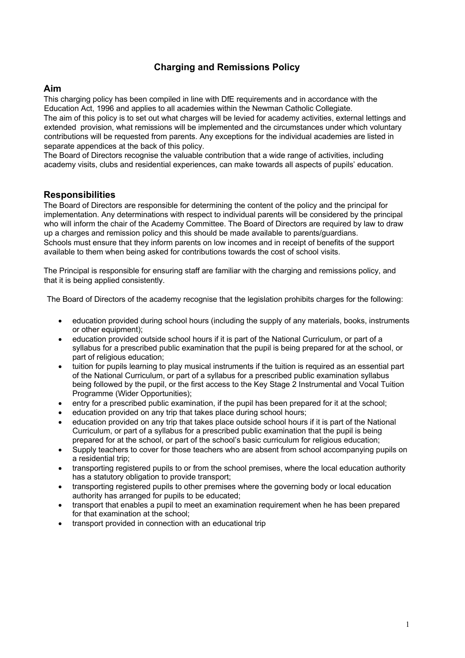## **Charging and Remissions Policy**

#### **Aim**

This charging policy has been compiled in line with DfE requirements and in accordance with the Education Act, 1996 and applies to all academies within the Newman Catholic Collegiate. The aim of this policy is to set out what charges will be levied for academy activities, external lettings and extended provision, what remissions will be implemented and the circumstances under which voluntary contributions will be requested from parents. Any exceptions for the individual academies are listed in separate appendices at the back of this policy.

The Board of Directors recognise the valuable contribution that a wide range of activities, including academy visits, clubs and residential experiences, can make towards all aspects of pupils' education.

#### **Responsibilities**

The Board of Directors are responsible for determining the content of the policy and the principal for implementation. Any determinations with respect to individual parents will be considered by the principal who will inform the chair of the Academy Committee. The Board of Directors are required by law to draw up a charges and remission policy and this should be made available to parents/guardians. Schools must ensure that they inform parents on low incomes and in receipt of benefits of the support available to them when being asked for contributions towards the cost of school visits.

The Principal is responsible for ensuring staff are familiar with the charging and remissions policy, and that it is being applied consistently.

The Board of Directors of the academy recognise that the legislation prohibits charges for the following:

- education provided during school hours (including the supply of any materials, books, instruments or other equipment);
- education provided outside school hours if it is part of the National Curriculum, or part of a syllabus for a prescribed public examination that the pupil is being prepared for at the school, or part of religious education;
- tuition for pupils learning to play musical instruments if the tuition is required as an essential part of the National Curriculum, or part of a syllabus for a prescribed public examination syllabus being followed by the pupil, or the first access to the Key Stage 2 Instrumental and Vocal Tuition Programme (Wider Opportunities);
- entry for a prescribed public examination, if the pupil has been prepared for it at the school;
- education provided on any trip that takes place during school hours;
- education provided on any trip that takes place outside school hours if it is part of the National Curriculum, or part of a syllabus for a prescribed public examination that the pupil is being prepared for at the school, or part of the school's basic curriculum for religious education;
- Supply teachers to cover for those teachers who are absent from school accompanying pupils on a residential trip;
- transporting registered pupils to or from the school premises, where the local education authority has a statutory obligation to provide transport;
- transporting registered pupils to other premises where the governing body or local education authority has arranged for pupils to be educated;
- transport that enables a pupil to meet an examination requirement when he has been prepared for that examination at the school;
- transport provided in connection with an educational trip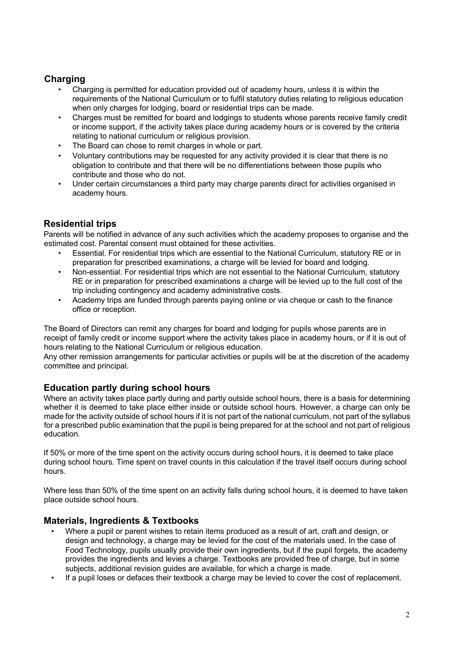## **Charging**

- Charging is permitted for education provided out of academy hours, unless it is within the requirements of the National Curriculum or to fulfil statutory duties relating to religious education when only charges for lodging, board or residential trips can be made.
- Charges must be remitted for board and lodgings to students whose parents receive family credit or income support, if the activity takes place during academy hours or is covered by the criteria relating to national curriculum or religious provision.
- The Board can chose to remit charges in whole or part.
- Voluntary contributions may be requested for any activity provided it is clear that there is no obligation to contribute and that there will be no differentiations between those pupils who contribute and those who do not.
- Under certain circumstances a third party may charge parents direct for activities organised in academy hours.

## **Residential trips**

Parents will be notified in advance of any such activities which the academy proposes to organise and the estimated cost. Parental consent must obtained for these activities.

- Essential. For residential trips which are essential to the National Curriculum, statutory RE or in preparation for prescribed examinations, a charge will be levied for board and lodging.
- Non-essential. For residential trips which are not essential to the National Curriculum, statutory RE or in preparation for prescribed examinations a charge will be levied up to the full cost of the trip including contingency and academy administrative costs.
- Academy trips are funded through parents paying online or via cheque or cash to the finance office or reception.

The Board of Directors can remit any charges for board and lodging for pupils whose parents are in receipt of family credit or income support where the activity takes place in academy hours, or if it is out of hours relating to the National Curriculum or religious education.

Any other remission arrangements for particular activities or pupils will be at the discretion of the academy committee and principal.

#### **Education partly during school hours**

Where an activity takes place partly during and partly outside school hours, there is a basis for determining whether it is deemed to take place either inside or outside school hours. However, a charge can only be made for the activity outside of school hours if it is not part of the national curriculum, not part of the syllabus for a prescribed public examination that the pupil is being prepared for at the school and not part of religious education.

If 50% or more of the time spent on the activity occurs during school hours, it is deemed to take place during school hours. Time spent on travel counts in this calculation if the travel itself occurs during school hours.

Where less than 50% of the time spent on an activity falls during school hours, it is deemed to have taken place outside school hours.

#### **Materials, Ingredients & Textbooks**

- Where a pupil or parent wishes to retain items produced as a result of art, craft and design, or design and technology, a charge may be levied for the cost of the materials used. In the case of Food Technology, pupils usually provide their own ingredients, but if the pupil forgets, the academy provides the ingredients and levies a charge. Textbooks are provided free of charge, but in some subjects, additional revision guides are available, for which a charge is made.
- If a pupil loses or defaces their textbook a charge may be levied to cover the cost of replacement.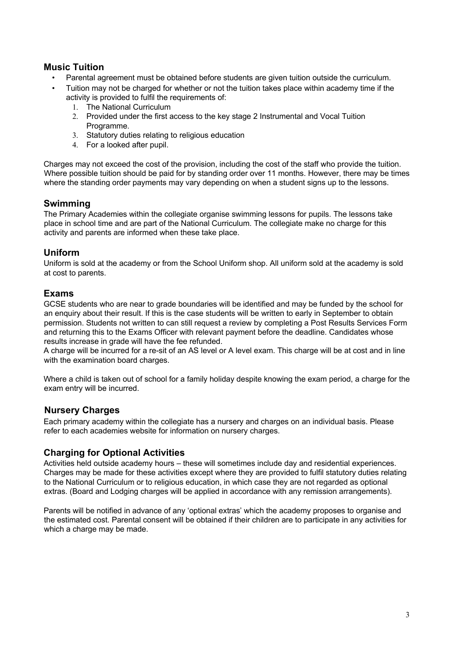#### **Music Tuition**

- Parental agreement must be obtained before students are given tuition outside the curriculum.
- Tuition may not be charged for whether or not the tuition takes place within academy time if the activity is provided to fulfil the requirements of:
	- 1. The National Curriculum
	- 2. Provided under the first access to the key stage 2 Instrumental and Vocal Tuition Programme.
	- 3. Statutory duties relating to religious education
	- 4. For a looked after pupil.

Charges may not exceed the cost of the provision, including the cost of the staff who provide the tuition. Where possible tuition should be paid for by standing order over 11 months. However, there may be times where the standing order payments may vary depending on when a student signs up to the lessons.

#### **Swimming**

The Primary Academies within the collegiate organise swimming lessons for pupils. The lessons take place in school time and are part of the National Curriculum. The collegiate make no charge for this activity and parents are informed when these take place.

#### **Uniform**

Uniform is sold at the academy or from the School Uniform shop. All uniform sold at the academy is sold at cost to parents.

#### **Exams**

GCSE students who are near to grade boundaries will be identified and may be funded by the school for an enquiry about their result. If this is the case students will be written to early in September to obtain permission. Students not written to can still request a review by completing a Post Results Services Form and returning this to the Exams Officer with relevant payment before the deadline. Candidates whose results increase in grade will have the fee refunded.

A charge will be incurred for a re-sit of an AS level or A level exam. This charge will be at cost and in line with the examination board charges.

Where a child is taken out of school for a family holiday despite knowing the exam period, a charge for the exam entry will be incurred.

#### **Nursery Charges**

Each primary academy within the collegiate has a nursery and charges on an individual basis. Please refer to each academies website for information on nursery charges.

#### **Charging for Optional Activities**

Activities held outside academy hours – these will sometimes include day and residential experiences. Charges may be made for these activities except where they are provided to fulfil statutory duties relating to the National Curriculum or to religious education, in which case they are not regarded as optional extras. (Board and Lodging charges will be applied in accordance with any remission arrangements).

Parents will be notified in advance of any 'optional extras' which the academy proposes to organise and the estimated cost. Parental consent will be obtained if their children are to participate in any activities for which a charge may be made.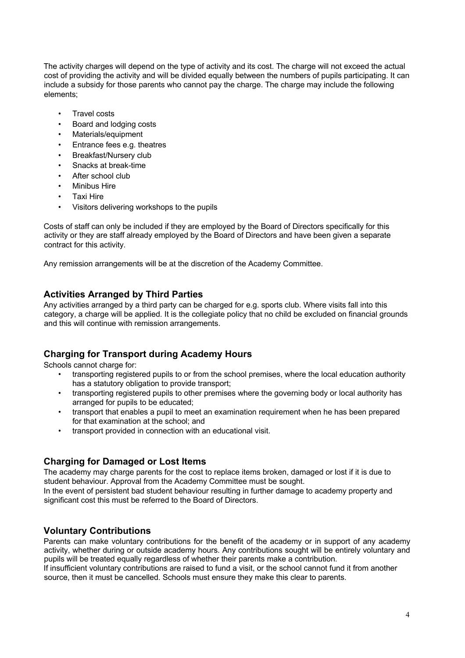The activity charges will depend on the type of activity and its cost. The charge will not exceed the actual cost of providing the activity and will be divided equally between the numbers of pupils participating. It can include a subsidy for those parents who cannot pay the charge. The charge may include the following elements;

- Travel costs
- Board and lodging costs
- Materials/equipment
- Entrance fees e.g. theatres
- Breakfast/Nursery club
- Snacks at break-time
- After school club
- Minibus Hire
- Taxi Hire
- Visitors delivering workshops to the pupils

Costs of staff can only be included if they are employed by the Board of Directors specifically for this activity or they are staff already employed by the Board of Directors and have been given a separate contract for this activity.

Any remission arrangements will be at the discretion of the Academy Committee.

#### **Activities Arranged by Third Parties**

Any activities arranged by a third party can be charged for e.g. sports club. Where visits fall into this category, a charge will be applied. It is the collegiate policy that no child be excluded on financial grounds and this will continue with remission arrangements.

#### **Charging for Transport during Academy Hours**

Schools cannot charge for:

- transporting registered pupils to or from the school premises, where the local education authority has a statutory obligation to provide transport;
- transporting registered pupils to other premises where the governing body or local authority has arranged for pupils to be educated;
- transport that enables a pupil to meet an examination requirement when he has been prepared for that examination at the school; and
- transport provided in connection with an educational visit.

#### **Charging for Damaged or Lost Items**

The academy may charge parents for the cost to replace items broken, damaged or lost if it is due to student behaviour. Approval from the Academy Committee must be sought.

In the event of persistent bad student behaviour resulting in further damage to academy property and significant cost this must be referred to the Board of Directors.

#### **Voluntary Contributions**

Parents can make voluntary contributions for the benefit of the academy or in support of any academy activity, whether during or outside academy hours. Any contributions sought will be entirely voluntary and pupils will be treated equally regardless of whether their parents make a contribution.

If insufficient voluntary contributions are raised to fund a visit, or the school cannot fund it from another source, then it must be cancelled. Schools must ensure they make this clear to parents.